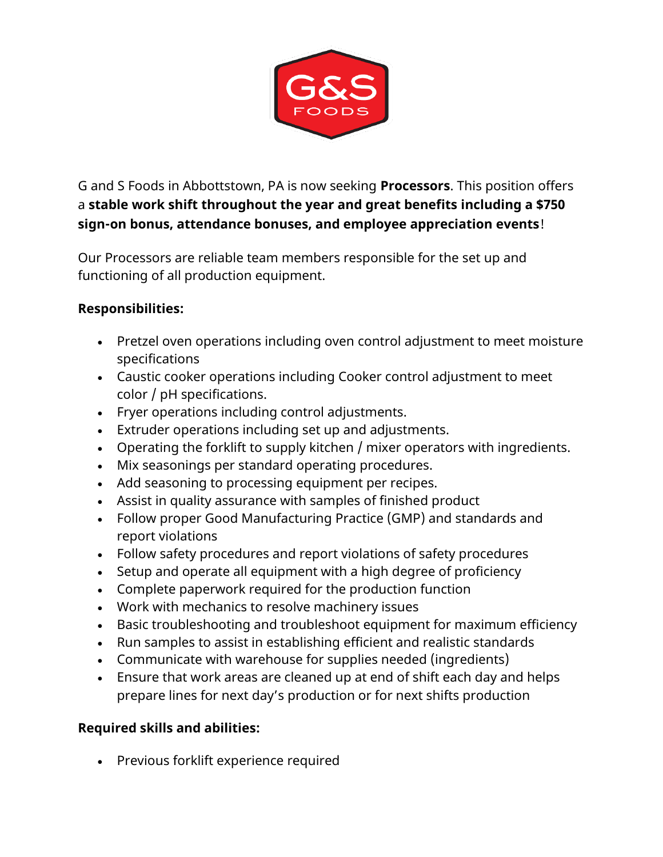

G and S Foods in Abbottstown, PA is now seeking **Processors**. This position offers a **stable work shift throughout the year and great benefits including a \$750 sign-on bonus, attendance bonuses, and employee appreciation events**!

Our Processors are reliable team members responsible for the set up and functioning of all production equipment.

## **Responsibilities:**

- Pretzel oven operations including oven control adjustment to meet moisture specifications
- Caustic cooker operations including Cooker control adjustment to meet color / pH specifications.
- Fryer operations including control adjustments.
- Extruder operations including set up and adjustments.
- Operating the forklift to supply kitchen / mixer operators with ingredients.
- Mix seasonings per standard operating procedures.
- Add seasoning to processing equipment per recipes.
- Assist in quality assurance with samples of finished product
- Follow proper Good Manufacturing Practice (GMP) and standards and report violations
- Follow safety procedures and report violations of safety procedures
- Setup and operate all equipment with a high degree of proficiency
- Complete paperwork required for the production function
- Work with mechanics to resolve machinery issues
- Basic troubleshooting and troubleshoot equipment for maximum efficiency
- Run samples to assist in establishing efficient and realistic standards
- Communicate with warehouse for supplies needed (ingredients)
- Ensure that work areas are cleaned up at end of shift each day and helps prepare lines for next day's production or for next shifts production

## **Required skills and abilities:**

• Previous forklift experience required